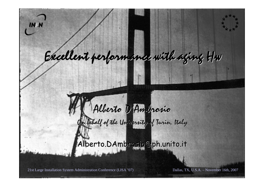

## Excellent performance with aging Hw

## Alberto D'Ambrosio On behalf of the University of Turin, Italy

Alberto.DAmbrosio@ph.unito.it

21st Large Installation System Administration Conference (LISA '07) Dallas, TX, U.S.A. – November 16th, 2007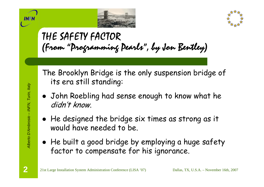



## THE SAFETY FACTOR (From "Programming Pearls", by Jon Bentley)

The Brooklyn Bridge is the only suspension bridge of its era still standing:

- John Roebling had sense enough to know what he didn't know.
- $\bullet\,$  He designed the bridge six times as strong as it would have needed to be.
- $\bullet\,$  He built a good bridge by employing a huge safety  $\,$ factor to compensate for his ignorance.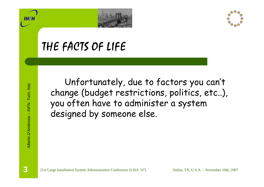



## THE FACTS OF LIFE

Unfortunately, due to factors you can't change (budget restrictions, politics, etc..), you often have to administer a system designed by someone else.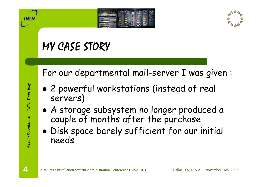



## MY CASE STORY

For our departmental mail-server I was given :

- $\bullet$  2 powerful workstations (instead of real servers)
- $\bullet$  A storage subsystem no longer produced a couple of months after the purchase
- $\bullet$  Disk space barely sufficient for our initial needs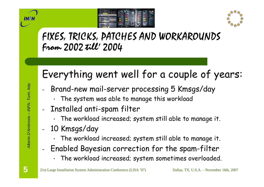



### FIXES, TRICKS, PATCHES AND WORKAROUNDS From 2002 till' 2004

## Everything went well for a couple of years:

- Brand-new mail-server processing 5 Kmsgs/day
	- • $\,\cdot\,$  The system was able to manage this workload
- Installed anti-spam filter
	- • $\,\cdot\,$  The workload increased; system still able to manage it.
- - 10 Kmsgs/day
	- •The workload increased; system still able to manage it.
- Enabled Bayesian correction for the spam-filter
	- •The workload increased; system sometimes overloaded.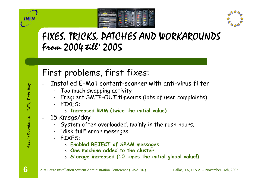



#### FIXES, TRICKS, PATCHES AND WORKAROUNDS From 2004 till' 2005

#### First problems, first fixes:

- - Installed E-Mail content-scanner with anti-virus filter
	- Too much swapping activity
	- •Frequent SMTP-OUT timeouts (lots of user complaints)
	- FIXES:
		- o **Increased RAM (twice the initial value)**
	- 15 Kmsgs/day
		- •System often overloaded, mainly in the rush hours.
		- "disk full" error messages
		- FIXES:
			- o **Enabled REJECT of SPAM messages**
			- o **One machine added to the cluster**
			- o **Storage increased (10 times the initial global value!)**

-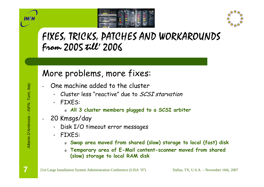



#### FIXES, TRICKS, PATCHES AND WORKAROUNDS From 2005 till' 2006

#### More problems, more fixes:

- - One machine added to the cluster
	- Cluster less "reactive" due to SCSI starvation
	- • FIXES:
		- o **All 3 cluster members plugged to a SCSI arbiter**
- - 20 Kmsgs/day
	- Disk I/O timeout error messages
	- FIXES:
		- o **Swap area moved from shared (slow) storage to local (fast) disk**
		- o **Temporary area of E-Mail content-scanner moved from shared (slow) storage to local RAM disk**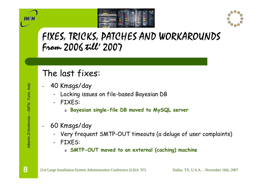



#### FIXES, TRICKS, PATCHES AND WORKAROUNDS From 2006 till' 2007

#### The last fixes:

- - 40 Kmsgs/day
	- •Locking issues on file-based Bayesian DB
	- • FIXES:
		- o **Bayesian single-file DB moved to MySQL server**
- - 60 Kmsgs/day
	- •Very frequent SMTP-OUT timeouts (a deluge of user complaints)
	- • FIXES:
		- o **SMTP-OUT moved to an external (caching) machine**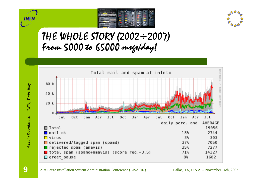



#### THE WHOLE STORY (2002÷2007) From 5000 to 65000 msgs/day!



**INFN** 

**9**

21st Large Installation System Administration Conference (LISA '07) Dallas, TX, U.S.A. – November 16th, 2007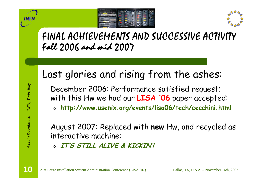



#### FINAL ACHIEVEMENTS AND SUCCESSIVE ACTIVITY Fall 2006 and mid 2007

## Last glories and rising from the ashes:

- December 2006: Performance satisfied request; with this Hw we had our **LISA '06** paper accepted:
	- o **http://www.usenix.org/events/lisa06/tech/cecchini.html**
- August 2007: Replaced with **new** Hw, and recycled as interactive machine:
	- o**IT'S STILL ALIVE & KICKIN'!**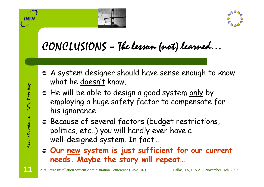



## CONCLUSIONS – The lesson (not) learned…

- Â A system designer should have sense enough to know what he doesn't know.
- $\Rightarrow$  He will be able to design a good system <u>only</u> by employing a huge safety factor to compensate for his ignorance.
- Â Because of several factors (budget restrictions, politics, etc..) you will hardly ever have a well-designed system. In fact…
- Â **Our new system is just sufficient for our current needs. Maybe the story will repeat…**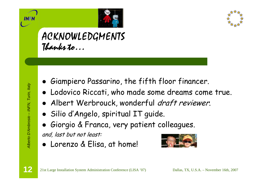



#### ACKNOWLEDGMENTS Thanks to…

- $\bullet\,$  Giampiero Passarino, the fifth floor financer.
- **Lodovico Riccati, who made some dreams come true.**
- Albert Werbrouck, wonderful *draft reviewer*.
- z Silio d'Angelo, spiritual IT guide.
- $\bullet$ Giorgio & Franca, very patient colleagues.

and, last but not least:

• Lorenzo & Elisa, at home!